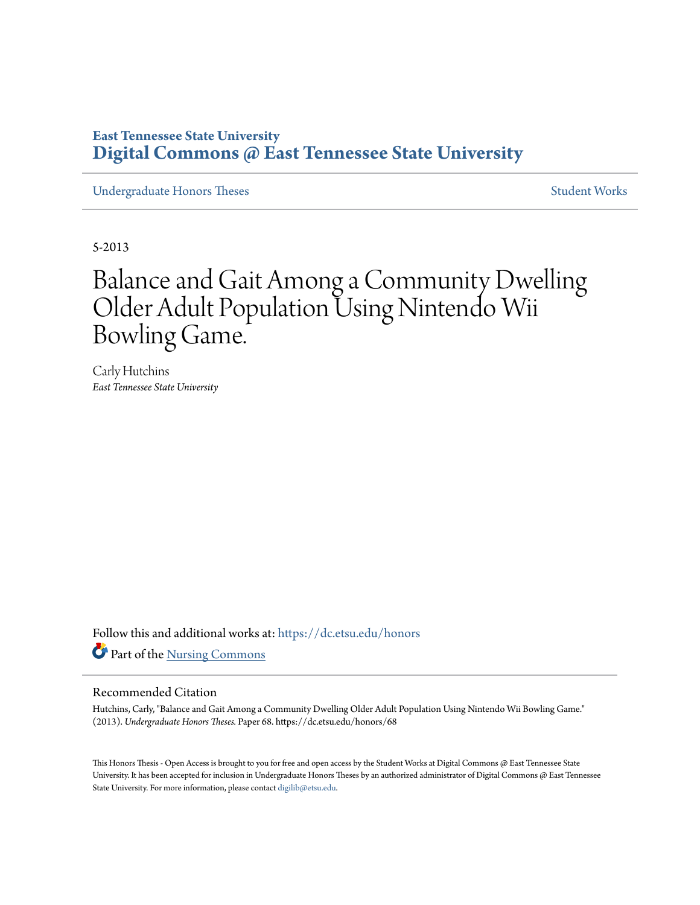# **East Tennessee State University [Digital Commons @ East Tennessee State University](https://dc.etsu.edu?utm_source=dc.etsu.edu%2Fhonors%2F68&utm_medium=PDF&utm_campaign=PDFCoverPages)**

[Undergraduate Honors Theses](https://dc.etsu.edu/honors?utm_source=dc.etsu.edu%2Fhonors%2F68&utm_medium=PDF&utm_campaign=PDFCoverPages) [Student Works](https://dc.etsu.edu/student-works?utm_source=dc.etsu.edu%2Fhonors%2F68&utm_medium=PDF&utm_campaign=PDFCoverPages)

5-2013

# Balance and Gait Among a Community Dwelling Older Adult Population Using Nintendo Wii Bowling Game.

Carly Hutchins *East Tennessee State University*

Follow this and additional works at: [https://dc.etsu.edu/honors](https://dc.etsu.edu/honors?utm_source=dc.etsu.edu%2Fhonors%2F68&utm_medium=PDF&utm_campaign=PDFCoverPages) Part of the [Nursing Commons](http://network.bepress.com/hgg/discipline/718?utm_source=dc.etsu.edu%2Fhonors%2F68&utm_medium=PDF&utm_campaign=PDFCoverPages)

## Recommended Citation

Hutchins, Carly, "Balance and Gait Among a Community Dwelling Older Adult Population Using Nintendo Wii Bowling Game." (2013). *Undergraduate Honors Theses.* Paper 68. https://dc.etsu.edu/honors/68

This Honors Thesis - Open Access is brought to you for free and open access by the Student Works at Digital Commons @ East Tennessee State University. It has been accepted for inclusion in Undergraduate Honors Theses by an authorized administrator of Digital Commons @ East Tennessee State University. For more information, please contact [digilib@etsu.edu.](mailto:digilib@etsu.edu)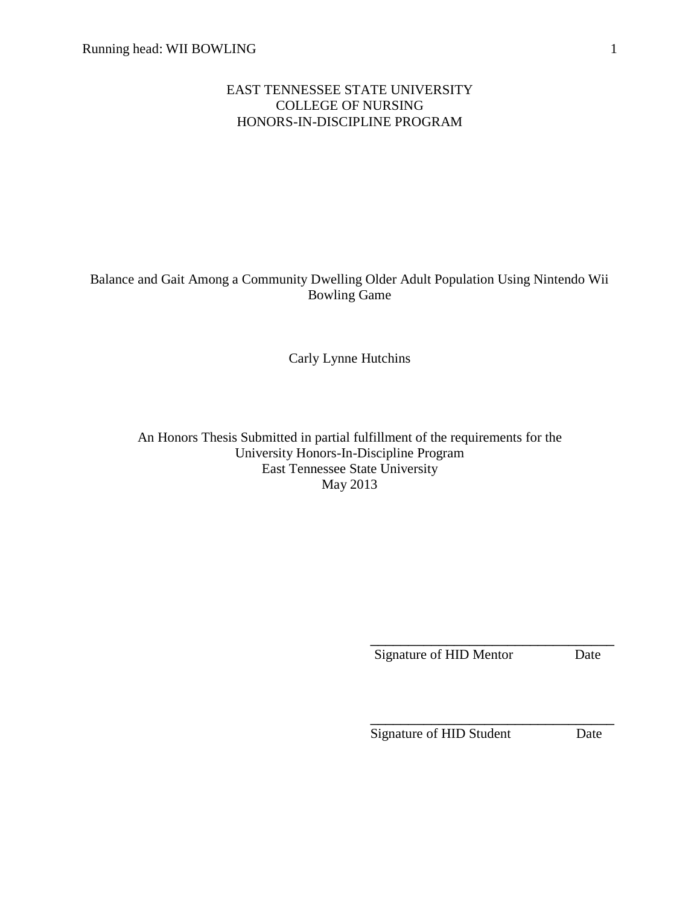## EAST TENNESSEE STATE UNIVERSITY COLLEGE OF NURSING HONORS-IN-DISCIPLINE PROGRAM

## Balance and Gait Among a Community Dwelling Older Adult Population Using Nintendo Wii Bowling Game

Carly Lynne Hutchins

An Honors Thesis Submitted in partial fulfillment of the requirements for the University Honors-In-Discipline Program East Tennessee State University May 2013

Signature of HID Mentor Date

\_\_\_\_\_\_\_\_\_\_\_\_\_\_\_\_\_\_\_\_\_\_\_\_\_\_\_\_\_\_\_\_ Signature of HID Student Date

\_\_\_\_\_\_\_\_\_\_\_\_\_\_\_\_\_\_\_\_\_\_\_\_\_\_\_\_\_\_\_\_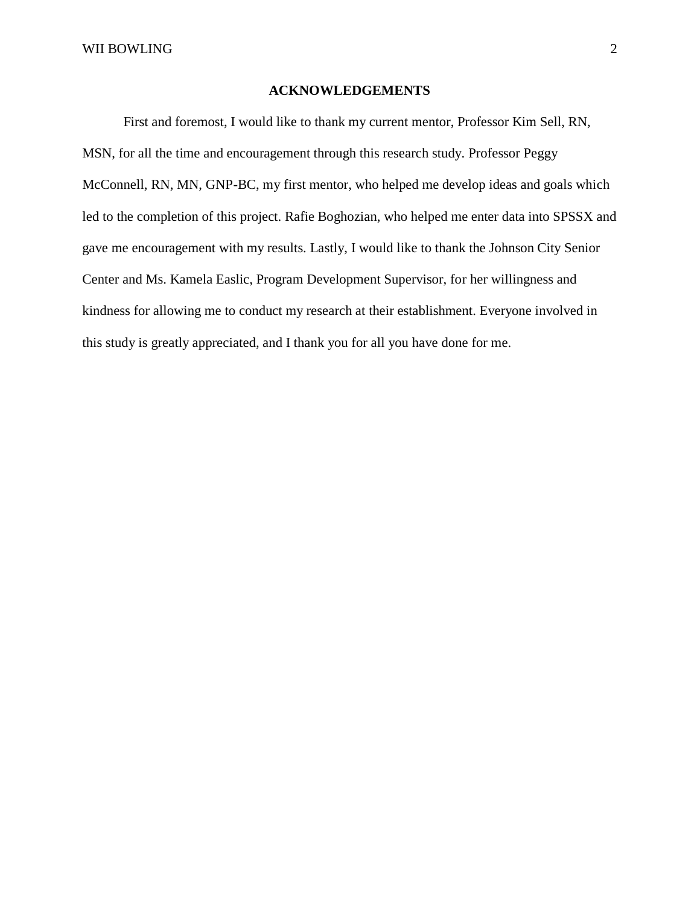## **ACKNOWLEDGEMENTS**

First and foremost, I would like to thank my current mentor, Professor Kim Sell, RN, MSN, for all the time and encouragement through this research study. Professor Peggy McConnell, RN, MN, GNP-BC, my first mentor, who helped me develop ideas and goals which led to the completion of this project. Rafie Boghozian, who helped me enter data into SPSSX and gave me encouragement with my results. Lastly, I would like to thank the Johnson City Senior Center and Ms. Kamela Easlic, Program Development Supervisor, for her willingness and kindness for allowing me to conduct my research at their establishment. Everyone involved in this study is greatly appreciated, and I thank you for all you have done for me.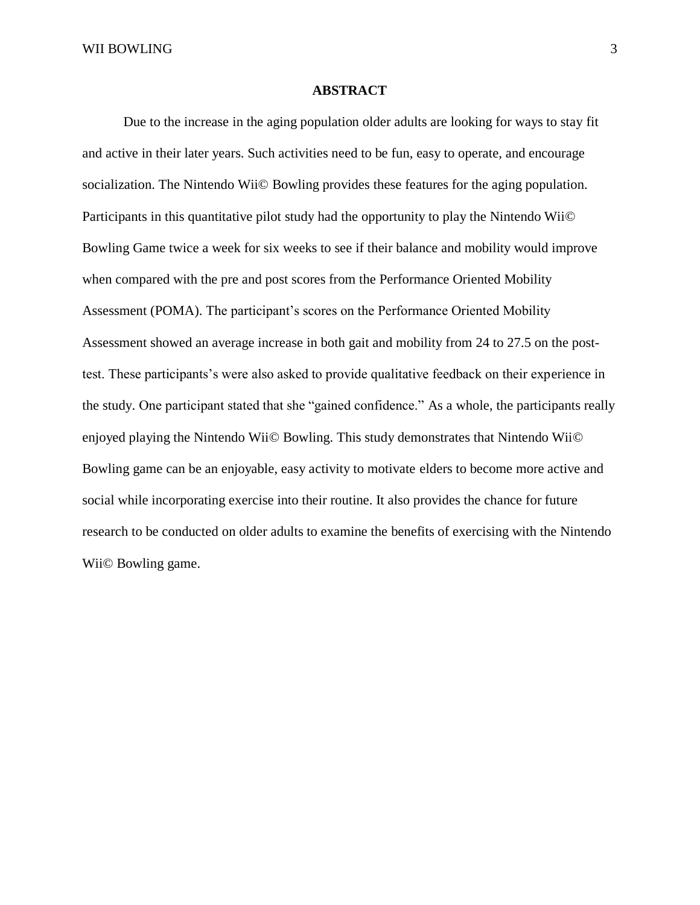## **ABSTRACT**

Due to the increase in the aging population older adults are looking for ways to stay fit and active in their later years. Such activities need to be fun, easy to operate, and encourage socialization. The Nintendo Wii© Bowling provides these features for the aging population. Participants in this quantitative pilot study had the opportunity to play the Nintendo Wii© Bowling Game twice a week for six weeks to see if their balance and mobility would improve when compared with the pre and post scores from the Performance Oriented Mobility Assessment (POMA). The participant's scores on the Performance Oriented Mobility Assessment showed an average increase in both gait and mobility from 24 to 27.5 on the posttest. These participants's were also asked to provide qualitative feedback on their experience in the study. One participant stated that she "gained confidence." As a whole, the participants really enjoyed playing the Nintendo Wii© Bowling. This study demonstrates that Nintendo Wii© Bowling game can be an enjoyable, easy activity to motivate elders to become more active and social while incorporating exercise into their routine. It also provides the chance for future research to be conducted on older adults to examine the benefits of exercising with the Nintendo Wii© Bowling game.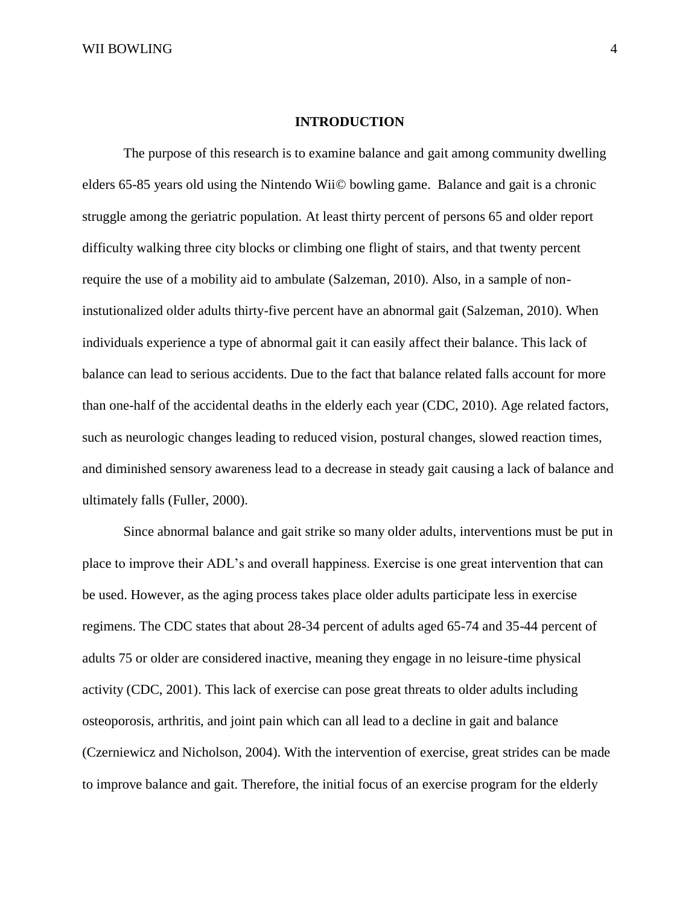## **INTRODUCTION**

The purpose of this research is to examine balance and gait among community dwelling elders 65-85 years old using the Nintendo Wii© bowling game. Balance and gait is a chronic struggle among the geriatric population. At least thirty percent of persons 65 and older report difficulty walking three city blocks or climbing one flight of stairs, and that twenty percent require the use of a mobility aid to ambulate (Salzeman, 2010). Also, in a sample of noninstutionalized older adults thirty-five percent have an abnormal gait (Salzeman, 2010). When individuals experience a type of abnormal gait it can easily affect their balance. This lack of balance can lead to serious accidents. Due to the fact that balance related falls account for more than one-half of the accidental deaths in the elderly each year (CDC, 2010). Age related factors, such as neurologic changes leading to reduced vision, postural changes, slowed reaction times, and diminished sensory awareness lead to a decrease in steady gait causing a lack of balance and ultimately falls (Fuller, 2000).

Since abnormal balance and gait strike so many older adults, interventions must be put in place to improve their ADL's and overall happiness. Exercise is one great intervention that can be used. However, as the aging process takes place older adults participate less in exercise regimens. The CDC states that about 28-34 percent of adults aged 65-74 and 35-44 percent of adults 75 or older are considered inactive, meaning they engage in no leisure-time physical activity (CDC, 2001). This lack of exercise can pose great threats to older adults including osteoporosis, arthritis, and joint pain which can all lead to a decline in gait and balance (Czerniewicz and Nicholson, 2004). With the intervention of exercise, great strides can be made to improve balance and gait. Therefore, the initial focus of an exercise program for the elderly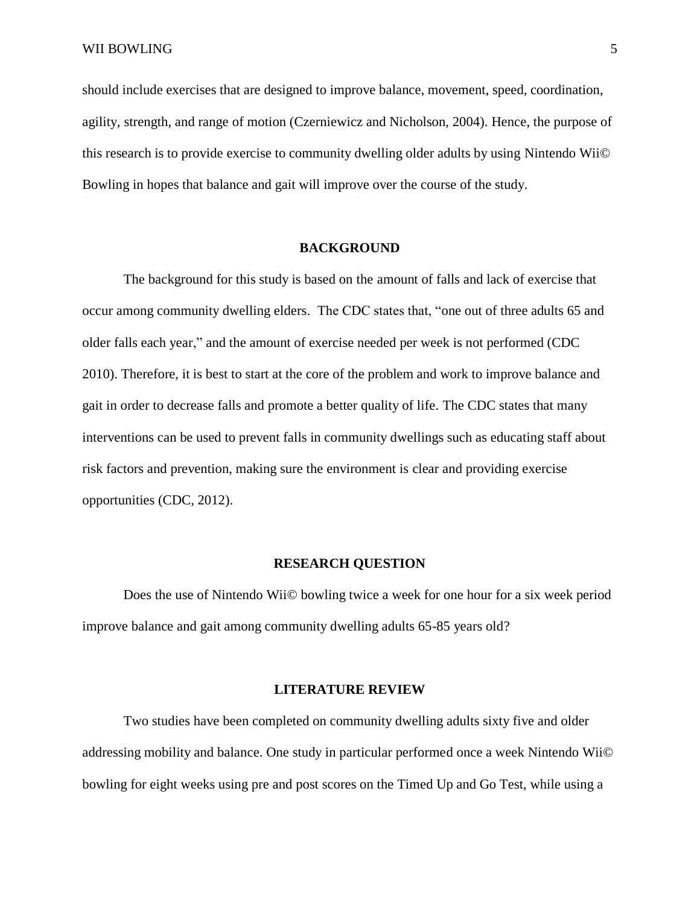should include exercises that are designed to improve balance, movement, speed, coordination, agility, strength, and range of motion (Czerniewicz and Nicholson, 2004). Hence, the purpose of this research is to provide exercise to community dwelling older adults by using Nintendo Wii© Bowling in hopes that balance and gait will improve over the course of the study.

## **BACKGROUND**

The background for this study is based on the amount of falls and lack of exercise that occur among community dwelling elders. The CDC states that, "one out of three adults 65 and older falls each year," and the amount of exercise needed per week is not performed (CDC 2010). Therefore, it is best to start at the core of the problem and work to improve balance and gait in order to decrease falls and promote a better quality of life. The CDC states that many interventions can be used to prevent falls in community dwellings such as educating staff about risk factors and prevention, making sure the environment is clear and providing exercise opportunities (CDC, 2012).

#### **RESEARCH QUESTION**

Does the use of Nintendo Wii© bowling twice a week for one hour for a six week period improve balance and gait among community dwelling adults 65-85 years old?

#### **LITERATURE REVIEW**

Two studies have been completed on community dwelling adults sixty five and older addressing mobility and balance. One study in particular performed once a week Nintendo Wii© bowling for eight weeks using pre and post scores on the Timed Up and Go Test, while using a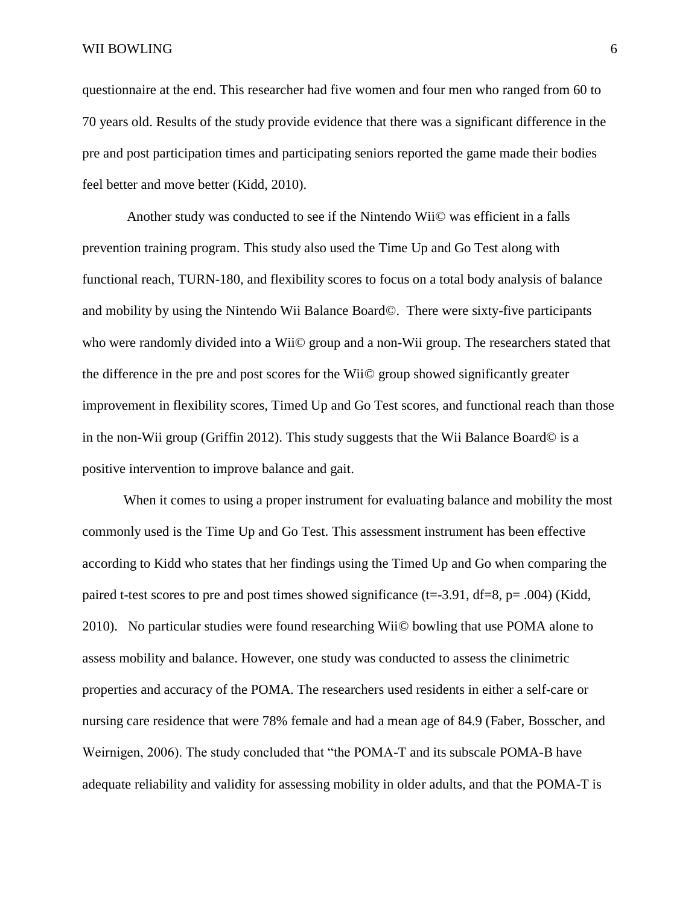questionnaire at the end. This researcher had five women and four men who ranged from 60 to 70 years old. Results of the study provide evidence that there was a significant difference in the pre and post participation times and participating seniors reported the game made their bodies feel better and move better (Kidd, 2010).

Another study was conducted to see if the Nintendo Wii© was efficient in a falls prevention training program. This study also used the Time Up and Go Test along with functional reach, TURN-180, and flexibility scores to focus on a total body analysis of balance and mobility by using the Nintendo Wii Balance Board©. There were sixty-five participants who were randomly divided into a Wii© group and a non-Wii group. The researchers stated that the difference in the pre and post scores for the Wii© group showed significantly greater improvement in flexibility scores, Timed Up and Go Test scores, and functional reach than those in the non-Wii group (Griffin 2012). This study suggests that the Wii Balance Board© is a positive intervention to improve balance and gait.

When it comes to using a proper instrument for evaluating balance and mobility the most commonly used is the Time Up and Go Test. This assessment instrument has been effective according to Kidd who states that her findings using the Timed Up and Go when comparing the paired t-test scores to pre and post times showed significance (t=-3.91, df=8, p= .004) (Kidd, 2010). No particular studies were found researching Wii© bowling that use POMA alone to assess mobility and balance. However, one study was conducted to assess the clinimetric properties and accuracy of the POMA. The researchers used residents in either a self-care or nursing care residence that were 78% female and had a mean age of 84.9 (Faber, Bosscher, and Weirnigen, 2006). The study concluded that "the POMA-T and its subscale POMA-B have adequate reliability and validity for assessing mobility in older adults, and that the POMA-T is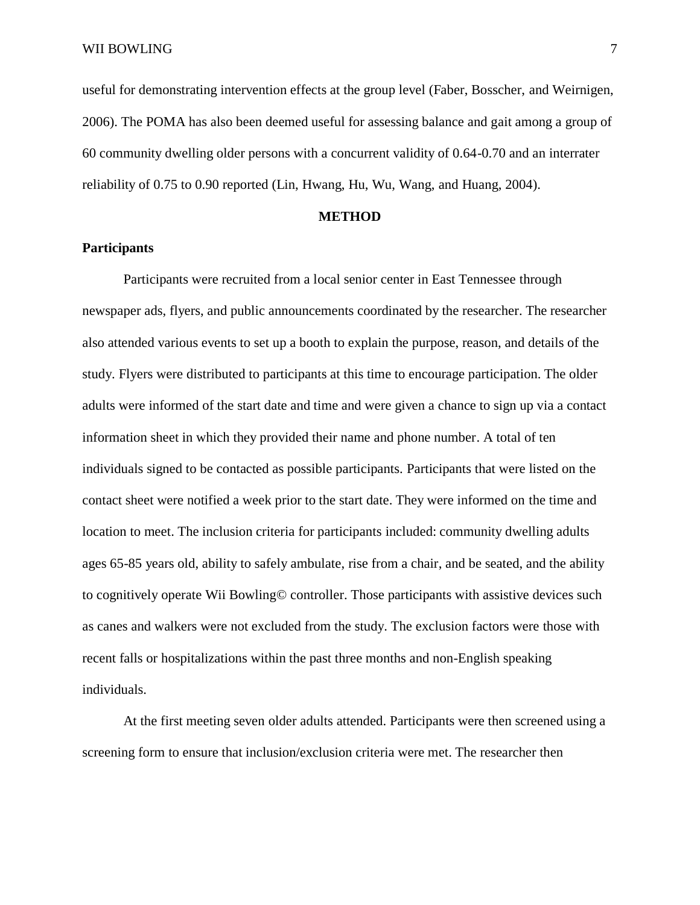useful for demonstrating intervention effects at the group level (Faber, Bosscher, and Weirnigen, 2006). The POMA has also been deemed useful for assessing balance and gait among a group of 60 community dwelling older persons with a concurrent validity of 0.64-0.70 and an interrater reliability of 0.75 to 0.90 reported (Lin, Hwang, Hu, Wu, Wang, and Huang, 2004).

## **METHOD**

## **Participants**

Participants were recruited from a local senior center in East Tennessee through newspaper ads, flyers, and public announcements coordinated by the researcher. The researcher also attended various events to set up a booth to explain the purpose, reason, and details of the study. Flyers were distributed to participants at this time to encourage participation. The older adults were informed of the start date and time and were given a chance to sign up via a contact information sheet in which they provided their name and phone number. A total of ten individuals signed to be contacted as possible participants. Participants that were listed on the contact sheet were notified a week prior to the start date. They were informed on the time and location to meet. The inclusion criteria for participants included: community dwelling adults ages 65-85 years old, ability to safely ambulate, rise from a chair, and be seated, and the ability to cognitively operate Wii Bowling© controller. Those participants with assistive devices such as canes and walkers were not excluded from the study. The exclusion factors were those with recent falls or hospitalizations within the past three months and non-English speaking individuals.

At the first meeting seven older adults attended. Participants were then screened using a screening form to ensure that inclusion/exclusion criteria were met. The researcher then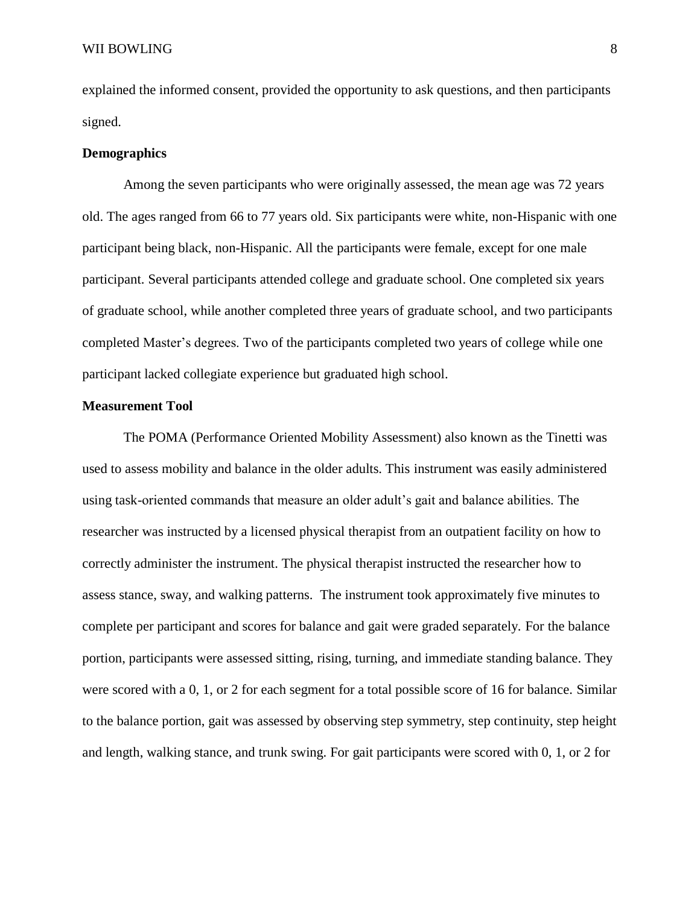explained the informed consent, provided the opportunity to ask questions, and then participants signed.

## **Demographics**

Among the seven participants who were originally assessed, the mean age was 72 years old. The ages ranged from 66 to 77 years old. Six participants were white, non-Hispanic with one participant being black, non-Hispanic. All the participants were female, except for one male participant. Several participants attended college and graduate school. One completed six years of graduate school, while another completed three years of graduate school, and two participants completed Master's degrees. Two of the participants completed two years of college while one participant lacked collegiate experience but graduated high school.

## **Measurement Tool**

The POMA (Performance Oriented Mobility Assessment) also known as the Tinetti was used to assess mobility and balance in the older adults. This instrument was easily administered using task-oriented commands that measure an older adult's gait and balance abilities. The researcher was instructed by a licensed physical therapist from an outpatient facility on how to correctly administer the instrument. The physical therapist instructed the researcher how to assess stance, sway, and walking patterns. The instrument took approximately five minutes to complete per participant and scores for balance and gait were graded separately. For the balance portion, participants were assessed sitting, rising, turning, and immediate standing balance. They were scored with a 0, 1, or 2 for each segment for a total possible score of 16 for balance. Similar to the balance portion, gait was assessed by observing step symmetry, step continuity, step height and length, walking stance, and trunk swing. For gait participants were scored with 0, 1, or 2 for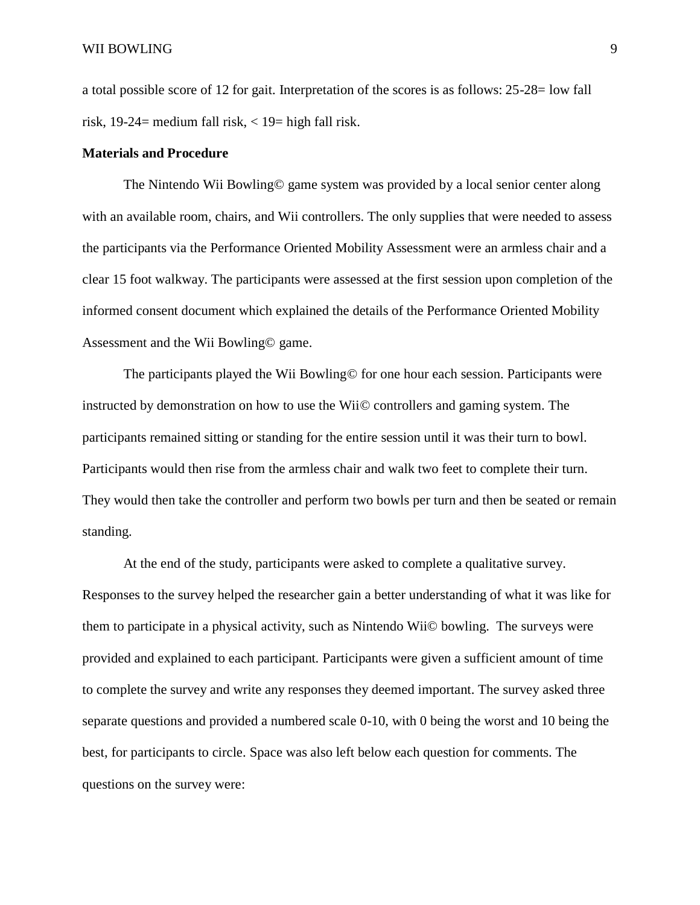a total possible score of 12 for gait. Interpretation of the scores is as follows: 25-28= low fall risk, 19-24= medium fall risk,  $\langle 19 =$  high fall risk.

## **Materials and Procedure**

The Nintendo Wii Bowling© game system was provided by a local senior center along with an available room, chairs, and Wii controllers. The only supplies that were needed to assess the participants via the Performance Oriented Mobility Assessment were an armless chair and a clear 15 foot walkway. The participants were assessed at the first session upon completion of the informed consent document which explained the details of the Performance Oriented Mobility Assessment and the Wii Bowling© game.

The participants played the Wii Bowling© for one hour each session. Participants were instructed by demonstration on how to use the Wii© controllers and gaming system. The participants remained sitting or standing for the entire session until it was their turn to bowl. Participants would then rise from the armless chair and walk two feet to complete their turn. They would then take the controller and perform two bowls per turn and then be seated or remain standing.

At the end of the study, participants were asked to complete a qualitative survey. Responses to the survey helped the researcher gain a better understanding of what it was like for them to participate in a physical activity, such as Nintendo Wii© bowling. The surveys were provided and explained to each participant. Participants were given a sufficient amount of time to complete the survey and write any responses they deemed important. The survey asked three separate questions and provided a numbered scale 0-10, with 0 being the worst and 10 being the best, for participants to circle. Space was also left below each question for comments. The questions on the survey were: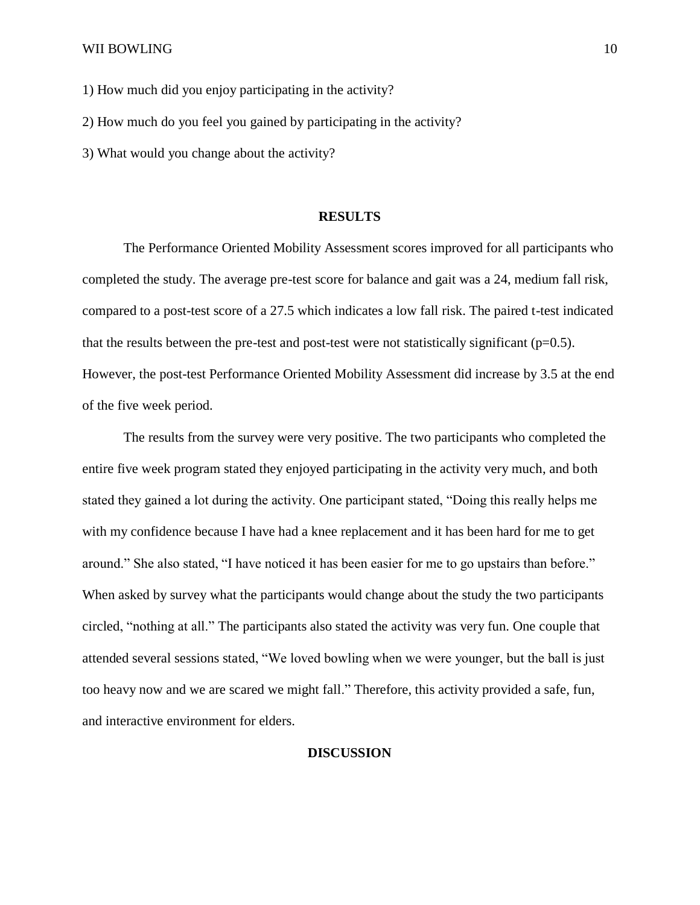1) How much did you enjoy participating in the activity?

2) How much do you feel you gained by participating in the activity?

3) What would you change about the activity?

## **RESULTS**

The Performance Oriented Mobility Assessment scores improved for all participants who completed the study. The average pre-test score for balance and gait was a 24, medium fall risk, compared to a post-test score of a 27.5 which indicates a low fall risk. The paired t-test indicated that the results between the pre-test and post-test were not statistically significant ( $p=0.5$ ). However, the post-test Performance Oriented Mobility Assessment did increase by 3.5 at the end of the five week period.

The results from the survey were very positive. The two participants who completed the entire five week program stated they enjoyed participating in the activity very much, and both stated they gained a lot during the activity. One participant stated, "Doing this really helps me with my confidence because I have had a knee replacement and it has been hard for me to get around." She also stated, "I have noticed it has been easier for me to go upstairs than before." When asked by survey what the participants would change about the study the two participants circled, "nothing at all." The participants also stated the activity was very fun. One couple that attended several sessions stated, "We loved bowling when we were younger, but the ball is just too heavy now and we are scared we might fall." Therefore, this activity provided a safe, fun, and interactive environment for elders.

## **DISCUSSION**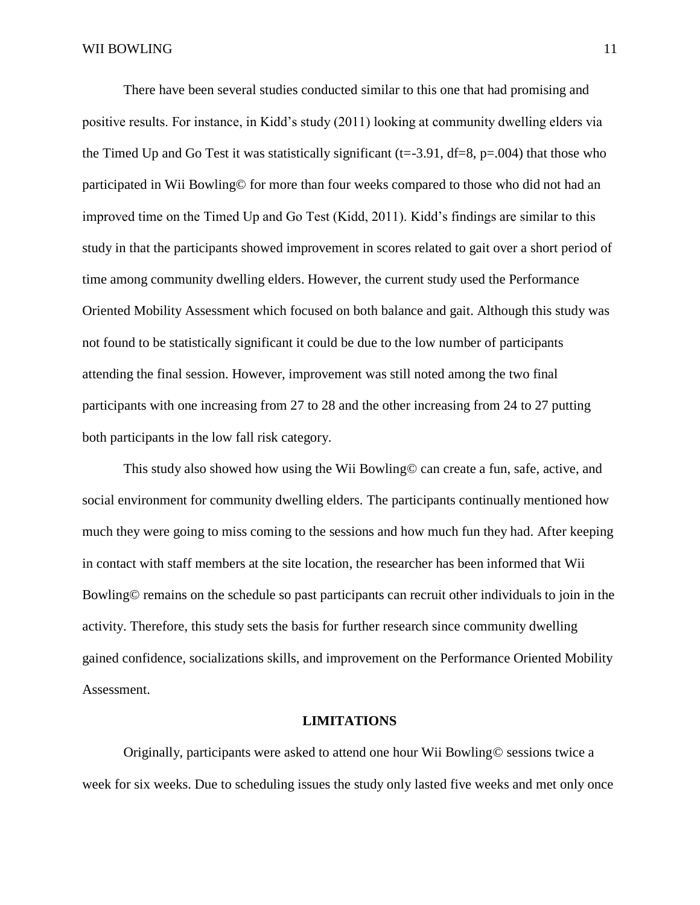There have been several studies conducted similar to this one that had promising and positive results. For instance, in Kidd's study (2011) looking at community dwelling elders via the Timed Up and Go Test it was statistically significant ( $t = -3.91$ ,  $df = 8$ ,  $p = .004$ ) that those who participated in Wii Bowling© for more than four weeks compared to those who did not had an improved time on the Timed Up and Go Test (Kidd, 2011). Kidd's findings are similar to this study in that the participants showed improvement in scores related to gait over a short period of time among community dwelling elders. However, the current study used the Performance Oriented Mobility Assessment which focused on both balance and gait. Although this study was not found to be statistically significant it could be due to the low number of participants attending the final session. However, improvement was still noted among the two final participants with one increasing from 27 to 28 and the other increasing from 24 to 27 putting both participants in the low fall risk category.

This study also showed how using the Wii Bowling© can create a fun, safe, active, and social environment for community dwelling elders. The participants continually mentioned how much they were going to miss coming to the sessions and how much fun they had. After keeping in contact with staff members at the site location, the researcher has been informed that Wii Bowling© remains on the schedule so past participants can recruit other individuals to join in the activity. Therefore, this study sets the basis for further research since community dwelling gained confidence, socializations skills, and improvement on the Performance Oriented Mobility Assessment.

#### **LIMITATIONS**

Originally, participants were asked to attend one hour Wii Bowling© sessions twice a week for six weeks. Due to scheduling issues the study only lasted five weeks and met only once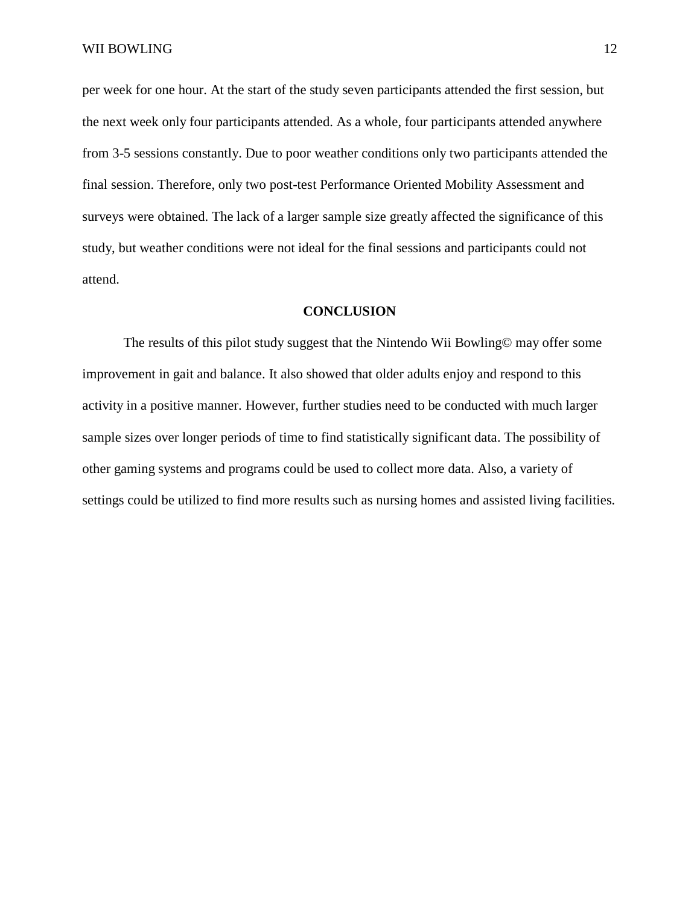per week for one hour. At the start of the study seven participants attended the first session, but the next week only four participants attended. As a whole, four participants attended anywhere from 3-5 sessions constantly. Due to poor weather conditions only two participants attended the final session. Therefore, only two post-test Performance Oriented Mobility Assessment and surveys were obtained. The lack of a larger sample size greatly affected the significance of this study, but weather conditions were not ideal for the final sessions and participants could not attend.

## **CONCLUSION**

The results of this pilot study suggest that the Nintendo Wii Bowling© may offer some improvement in gait and balance. It also showed that older adults enjoy and respond to this activity in a positive manner. However, further studies need to be conducted with much larger sample sizes over longer periods of time to find statistically significant data. The possibility of other gaming systems and programs could be used to collect more data. Also, a variety of settings could be utilized to find more results such as nursing homes and assisted living facilities.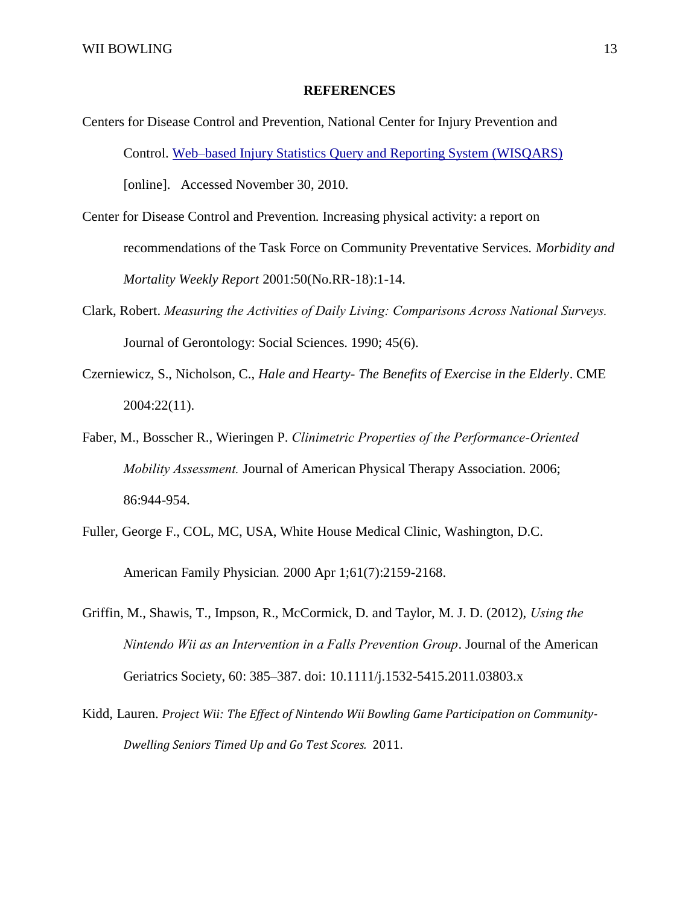## **REFERENCES**

- Centers for Disease Control and Prevention, National Center for Injury Prevention and Control. [Web–based Injury Statistics Query and Reporting System \(WISQARS\)](http://www.cdc.gov/injury/wisqars) [online]. Accessed November 30, 2010.
- Center for Disease Control and Prevention. Increasing physical activity: a report on recommendations of the Task Force on Community Preventative Services. *Morbidity and Mortality Weekly Report* 2001:50(No.RR-18):1-14.
- Clark, Robert. *Measuring the Activities of Daily Living: Comparisons Across National Surveys.* Journal of Gerontology: Social Sciences. 1990; 45(6).
- Czerniewicz, S., Nicholson, C., *Hale and Hearty- The Benefits of Exercise in the Elderly*. CME 2004:22(11).
- Faber, M., Bosscher R., Wieringen P. *Clinimetric Properties of the Performance-Oriented Mobility Assessment.* Journal of American Physical Therapy Association. 2006; 86:944-954.
- Fuller, George F., COL, MC, USA, White House Medical Clinic, Washington, D.C. American Family Physician*.* 2000 Apr 1;61(7):2159-2168.
- Griffin, M., Shawis, T., Impson, R., McCormick, D. and Taylor, M. J. D. (2012), *Using the Nintendo Wii as an Intervention in a Falls Prevention Group*. Journal of the American Geriatrics Society, 60: 385–387. doi: 10.1111/j.1532-5415.2011.03803.x
- Kidd, Lauren. *Project Wii: The Effect of Nintendo Wii Bowling Game Participation on Community-Dwelling Seniors Timed Up and Go Test Scores.* 2011.